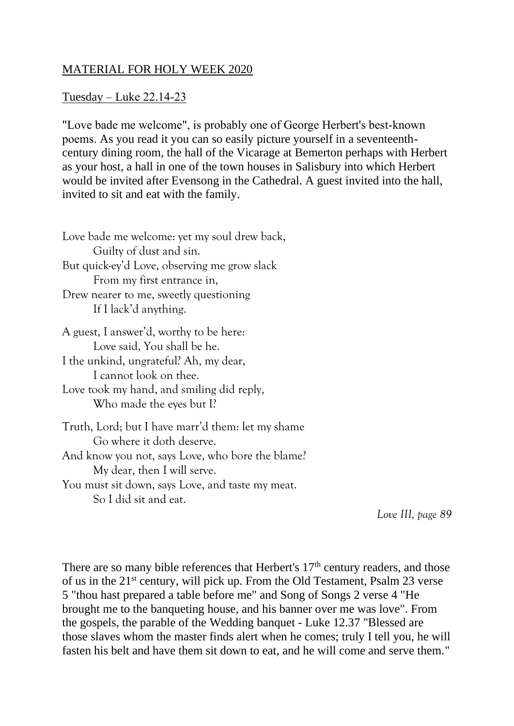## MATERIAL FOR HOLY WEEK 2020

## Tuesday – Luke 22.14-23

"Love bade me welcome", is probably one of George Herbert's best-known poems. As you read it you can so easily picture yourself in a seventeenthcentury dining room, the hall of the Vicarage at Bemerton perhaps with Herbert as your host, a hall in one of the town houses in Salisbury into which Herbert would be invited after Evensong in the Cathedral. A guest invited into the hall, invited to sit and eat with the family.

| Love bade me welcome: yet my soul drew back,                                   |
|--------------------------------------------------------------------------------|
| Guilty of dust and sin.                                                        |
| But quick-ey'd Love, observing me grow slack                                   |
| From my first entrance in,                                                     |
| Drew nearer to me, sweetly questioning                                         |
| If I lack'd anything.                                                          |
| A guest, I answer'd, worthy to be here:                                        |
| Love said, You shall be he.                                                    |
| I the unkind, ungrateful? Ah, my dear,                                         |
| I cannot look on thee.                                                         |
| Love took my hand, and smiling did reply,                                      |
| Who made the eyes but I?                                                       |
| Truth, Lord; but I have marr'd them: let my shame<br>Go where it doth deserve. |
| And know you not, says Love, who bore the blame?                               |
| My dear, then I will serve.                                                    |
| You must sit down, says Love, and taste my meat.                               |
| So I did sit and eat.                                                          |

 *Love III, page 89*

There are so many bible references that Herbert's  $17<sup>th</sup>$  century readers, and those of us in the 21st century, will pick up. From the Old Testament, Psalm 23 verse 5 "thou hast prepared a table before me" and Song of Songs 2 verse 4 "He brought me to the banqueting house, and his banner over me was love". From the gospels, the parable of the Wedding banquet - Luke 12.37 "Blessed are those slaves whom the master finds alert when he comes; truly I tell you, he will fasten his belt and have them sit down to eat, and he will come and serve them."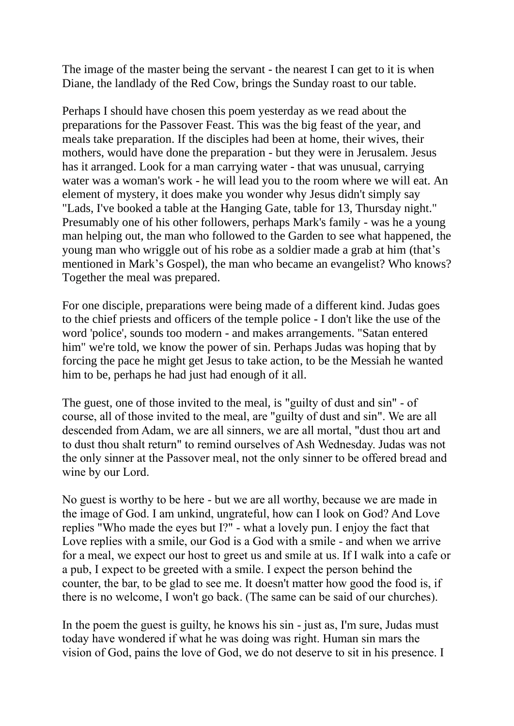The image of the master being the servant - the nearest I can get to it is when Diane, the landlady of the Red Cow, brings the Sunday roast to our table.

Perhaps I should have chosen this poem yesterday as we read about the preparations for the Passover Feast. This was the big feast of the year, and meals take preparation. If the disciples had been at home, their wives, their mothers, would have done the preparation - but they were in Jerusalem. Jesus has it arranged. Look for a man carrying water - that was unusual, carrying water was a woman's work - he will lead you to the room where we will eat. An element of mystery, it does make you wonder why Jesus didn't simply say "Lads, I've booked a table at the Hanging Gate, table for 13, Thursday night." Presumably one of his other followers, perhaps Mark's family - was he a young man helping out, the man who followed to the Garden to see what happened, the young man who wriggle out of his robe as a soldier made a grab at him (that's mentioned in Mark's Gospel), the man who became an evangelist? Who knows? Together the meal was prepared.

For one disciple, preparations were being made of a different kind. Judas goes to the chief priests and officers of the temple police - I don't like the use of the word 'police', sounds too modern - and makes arrangements. "Satan entered him" we're told, we know the power of sin. Perhaps Judas was hoping that by forcing the pace he might get Jesus to take action, to be the Messiah he wanted him to be, perhaps he had just had enough of it all.

The guest, one of those invited to the meal, is "guilty of dust and sin" - of course, all of those invited to the meal, are "guilty of dust and sin". We are all descended from Adam, we are all sinners, we are all mortal, "dust thou art and to dust thou shalt return" to remind ourselves of Ash Wednesday. Judas was not the only sinner at the Passover meal, not the only sinner to be offered bread and wine by our Lord.

No guest is worthy to be here - but we are all worthy, because we are made in the image of God. I am unkind, ungrateful, how can I look on God? And Love replies "Who made the eyes but I?" - what a lovely pun. I enjoy the fact that Love replies with a smile, our God is a God with a smile - and when we arrive for a meal, we expect our host to greet us and smile at us. If I walk into a cafe or a pub, I expect to be greeted with a smile. I expect the person behind the counter, the bar, to be glad to see me. It doesn't matter how good the food is, if there is no welcome, I won't go back. (The same can be said of our churches).

In the poem the guest is guilty, he knows his sin - just as, I'm sure, Judas must today have wondered if what he was doing was right. Human sin mars the vision of God, pains the love of God, we do not deserve to sit in his presence. I